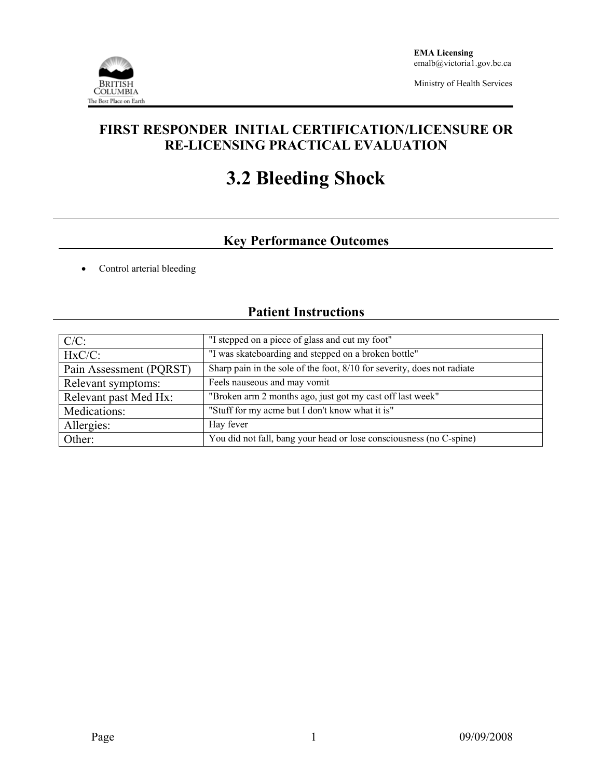

Ministry of Health Services

## **FIRST RESPONDER INITIAL CERTIFICATION/LICENSURE OR RE-LICENSING PRACTICAL EVALUATION**

# **3.2 Bleeding Shock**

## **Key Performance Outcomes**

• Control arterial bleeding

## **Patient Instructions**

| $C/C$ :                 | "I stepped on a piece of glass and cut my foot"                         |  |  |
|-------------------------|-------------------------------------------------------------------------|--|--|
| $HxC/C$ :               | "I was skateboarding and stepped on a broken bottle"                    |  |  |
| Pain Assessment (PQRST) | Sharp pain in the sole of the foot, 8/10 for severity, does not radiate |  |  |
| Relevant symptoms:      | Feels nauseous and may vomit                                            |  |  |
| Relevant past Med Hx:   | "Broken arm 2 months ago, just got my cast off last week"               |  |  |
| Medications:            | "Stuff for my acme but I don't know what it is"                         |  |  |
| Allergies:              | Hay fever                                                               |  |  |
| Other:                  | You did not fall, bang your head or lose consciousness (no C-spine)     |  |  |